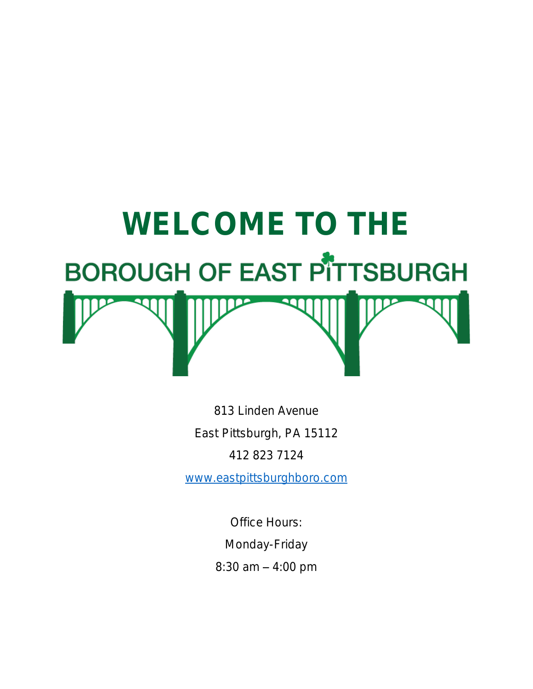

813 Linden Avenue East Pittsburgh, PA 15112 412 823 7124

[www.eastpittsburghboro.com](http://www.eastpittsburghboro.com/)

Office Hours: Monday-Friday  $8:30$  am  $-4:00$  pm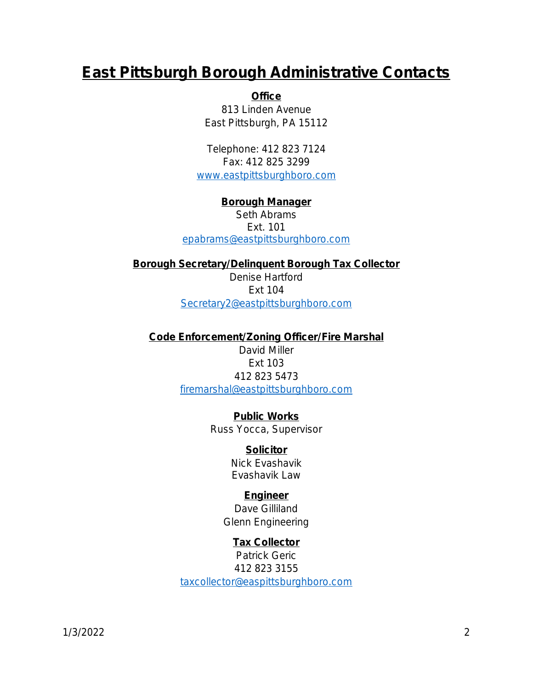# East Pittsburgh Borough Administrative Contacts

**Office** 813 Linden Avenue East Pittsburgh, PA 15112

Telephone: 412 823 7124 Fax: 412 825 3299 [www.eastpittsburghboro.com](http://www.eastpittsburghboro.com/)

Borough Manager Seth Abrams Ext. 101 [epabrams@eastpittsburghboro.com](mailto:epabrams@eastpittsburghboro.com)

Borough Secretary/Delinquent Borough Tax Collector Denise Hartford Ext 104 [Secretary2@eastpittsburghboro.com](mailto:Secretary2@eastpittsburghboro.com)

Code Enforcement/Zoning Officer/Fire Marshal David Miller Ext 103 412 823 5473 [firemarshal@eastpittsburghboro.com](mailto:firemarshal@eastpittsburghboro.com)

> Public Works Russ Yocca, Supervisor

> > **Solicitor** Nick Evashavik Evashavik Law

Engineer Dave Gilliland Glenn Engineering

Tax Collector Patrick Geric 412 823 3155 [taxcollector@easpittsburghboro.com](mailto:taxcollector@easpittsburghboro.com)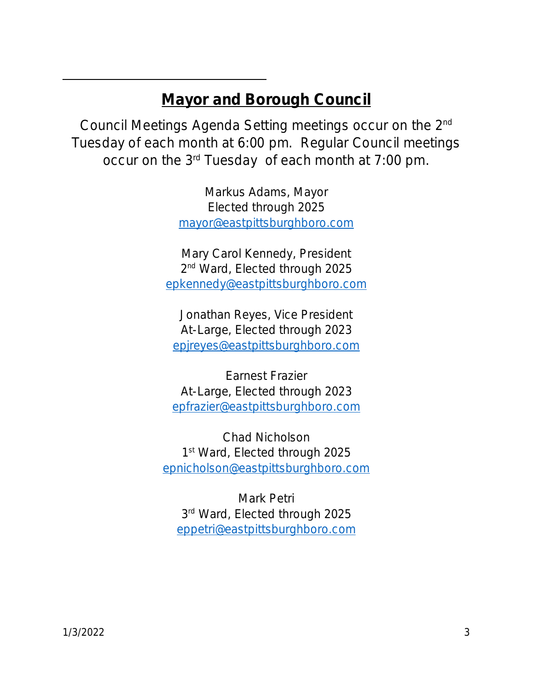### Mayor and Borough Council

Council Meetings Agenda Setting meetings occur on the 2nd Tuesday of each month at 6:00 pm. Regular Council meetings occur on the 3rd Tuesday of each month at 7:00 pm.

> Markus Adams, Mayor Elected through 2025 [mayor@eastpittsburghboro.com](mailto:mayor@eastpittsburghboro.com)

Mary Carol Kennedy, President 2<sup>nd</sup> Ward, Elected through 2025 [epkennedy@eastpittsburghboro.com](mailto:epkennedy@eastpittsburghboro.com)

Jonathan Reyes, Vice President At-Large, Elected through 2023 [epjreyes@eastpittsburghboro.com](mailto:epjreyes@eastpittsburghboro.com)

Earnest Frazier At-Large, Elected through 2023 [epfrazier@eastpittsburghboro.com](mailto:epfrazier@eastpittsburghboro.com)

Chad Nicholson 1st Ward, Elected through 2025 [epnicholson@eastpittsburghboro.com](mailto:epnicholson@eastpittsburghboro.com)

Mark Petri 3 rd Ward, Elected through 2025 [eppetri@eastpittsburghboro.com](mailto:eppetri@eastpittsburghboro.com)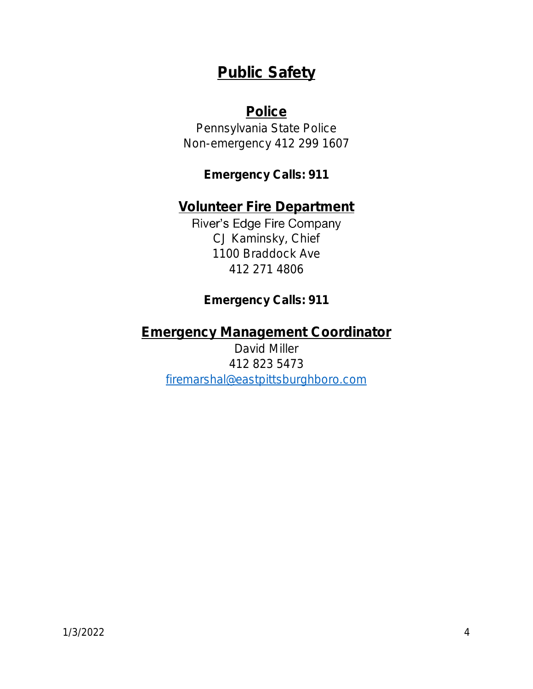# Public Safety

### **Police**

Pennsylvania State Police Non-emergency 412 299 1607

Emergency Calls: 911

Volunteer Fire Department River's Edge Fire Company CJ Kaminsky, Chief 1100 Braddock Ave 412 271 4806

Emergency Calls: 911

Emergency Management Coordinator David Miller 412 823 5473 [firemarshal@eastpittsburghboro.com](mailto:firemarshal@eastpittsburghboro.com)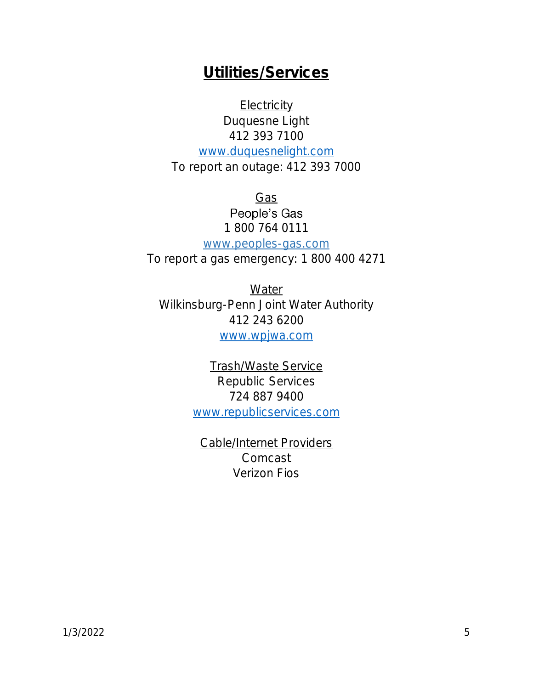### Utilities/Services

**Electricity** Duquesne Light 412 393 7100

[www.duquesnelight.com](http://www.duquesnelight.com/) To report an outage: 412 393 7000

> Gas People's Gas 1 800 764 0111

www.peoples-gas.com To report a gas emergency: 1 800 400 4271

**Water** Wilkinsburg-Penn Joint Water Authority 412 243 6200 [www.wpjwa.com](http://www.wpjwa.com/)

> Trash/Waste Service Republic Services 724 887 9400 [www.republicservices.com](http://www.republicservices.com/)

Cable/Internet Providers Comcast Verizon Fios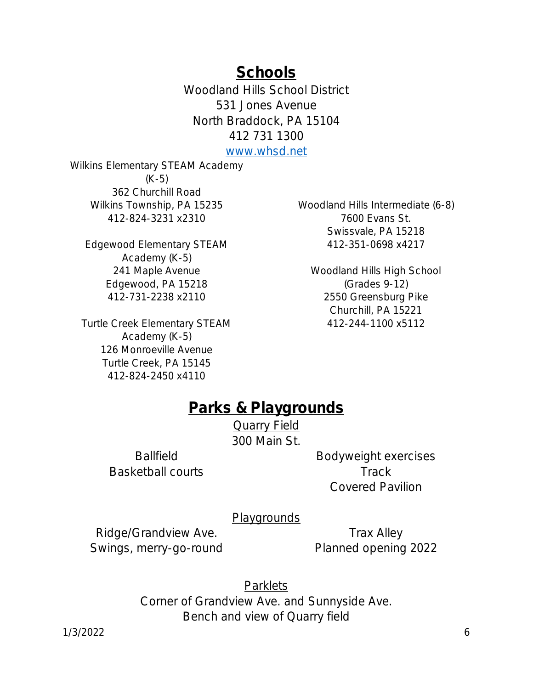**Schools** 

Woodland Hills School District 531 Jones Avenue North Braddock, PA 15104 412 731 1300

[www.whsd.net](http://www.whsd.net/)

Wilkins Elementary STEAM Academy (K-5) 362 Churchill Road Wilkins Township, PA 15235 412-824-3231 x2310

Edgewood Elementary STEAM Academy (K-5) 241 Maple Avenue Edgewood, PA 15218 412-731-2238 x2110

Turtle Creek Elementary STEAM Academy (K-5) 126 Monroeville Avenue Turtle Creek, PA 15145 412-824-2450 x4110

Woodland Hills Intermediate (6-8) 7600 Evans St. Swissvale, PA 15218 412-351-0698 x4217

Woodland Hills High School (Grades 9-12) 2550 Greensburg Pike Churchill, PA 15221 412-244-1100 x5112

### Parks & Playgrounds

Quarry Field 300 Main St.

**Ballfield** Basketball courts Bodyweight exercises **Track** Covered Pavilion

**Playgrounds** 

Ridge/Grandview Ave. Swings, merry-go-round

Trax Alley Planned opening 2022

**Parklets** 

Corner of Grandview Ave. and Sunnyside Ave. Bench and view of Quarry field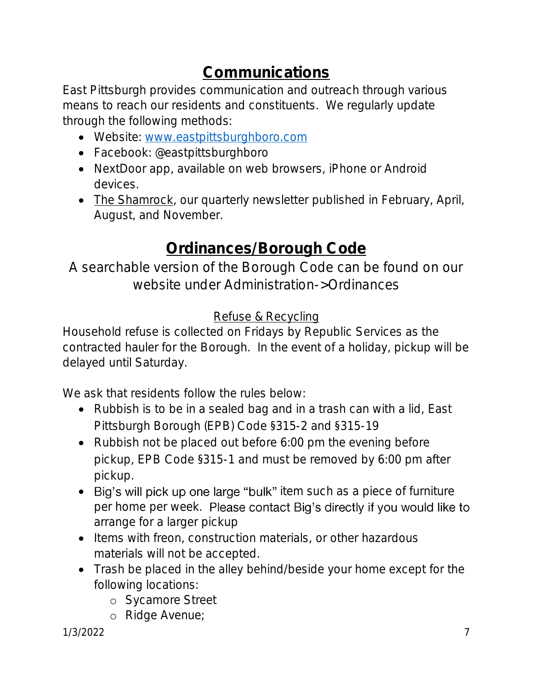# Communications

East Pittsburgh provides communication and outreach through various means to reach our residents and constituents. We regularly update through the following methods:

- Website: [www.eastpittsburghboro.com](http://www.eastpittsburghboro.com/)
- Facebook: @eastpittsburghboro
- NextDoor app, available on web browsers, iPhone or Android devices.
- The Shamrock, our quarterly newsletter published in February, April, August, and November.

# Ordinances/Borough Code

### A searchable version of the Borough Code can be found on our website under Administration->Ordinances

### Refuse & Recycling

Household refuse is collected on Fridays by Republic Services as the contracted hauler for the Borough. In the event of a holiday, pickup will be delayed until Saturday.

We ask that residents follow the rules below:

- Rubbish is to be in a sealed bag and in a trash can with a lid, East Pittsburgh Borough (EPB) Code §315-2 and §315-19
- Rubbish not be placed out before 6:00 pm the evening before pickup, EPB Code §315-1 and must be removed by 6:00 pm after pickup.
- Big's will pick up one large "bulk" item such as a piece of furniture per home per week. Please contact Big's directly if you would like to arrange for a larger pickup
- Items with freon, construction materials, or other hazardous materials will not be accepted.
- Trash be placed in the alley behind/beside your home except for the following locations:
	- o Sycamore Street
	- o Ridge Avenue;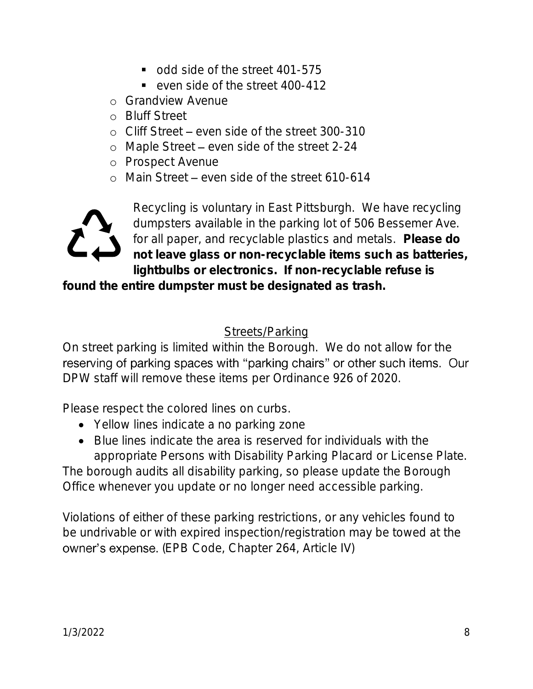- odd side of the street 401-575
- even side of the street 400-412
- o Grandview Avenue
- o Bluff Street
- $\circ$  Cliff Street even side of the street 300-310
- o Maple Street even side of the street 2-24
- o Prospect Avenue
- o Main Street even side of the street 610-614



Recycling is voluntary in East Pittsburgh. We have recycling dumpsters available in the parking lot of 506 Bessemer Ave. for all paper, and recyclable plastics and metals. Please do not leave glass or non-recyclable items such as batteries, lightbulbs or electronics. If non-recyclable refuse is

found the entire dumpster must be designated as trash.

#### **Streets/Parking**

On street parking is limited within the Borough. We do not allow for the reserving of parking spaces with "parking chairs" or other such items. Our DPW staff will remove these items per Ordinance 926 of 2020.

Please respect the colored lines on curbs.

- Yellow lines indicate a no parking zone
- Blue lines indicate the area is reserved for individuals with the appropriate Persons with Disability Parking Placard or License Plate.

The borough audits all disability parking, so please update the Borough Office whenever you update or no longer need accessible parking.

Violations of either of these parking restrictions, or any vehicles found to be undrivable or with expired inspection/registration may be towed at the owner's expense. (EPB Code, Chapter 264, Article IV)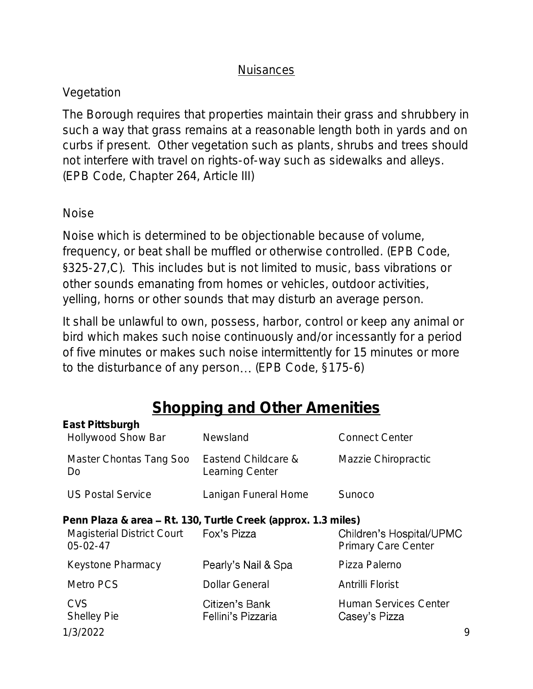#### **Nuisances**

### Vegetation

The Borough requires that properties maintain their grass and shrubbery in such a way that grass remains at a reasonable length both in yards and on curbs if present. Other vegetation such as plants, shrubs and trees should not interfere with travel on rights-of-way such as sidewalks and alleys. (EPB Code, Chapter 264, Article III)

#### Noise

Noise which is determined to be objectionable because of volume, frequency, or beat shall be muffled or otherwise controlled. (EPB Code, §325-27,C). This includes but is not limited to music, bass vibrations or other sounds emanating from homes or vehicles, outdoor activities, yelling, horns or other sounds that may disturb an average person.

It shall be unlawful to own, possess, harbor, control or keep any animal or bird which makes such noise continuously and/or incessantly for a period of five minutes or makes such noise intermittently for 15 minutes or more to the disturbance of any person... (EPB Code, §175-6)

# Shopping and Other Amenities

| East Pittsburgh<br><b>Hollywood Show Bar</b> | Newsland                                                                     | <b>Connect Center</b>                                  |   |
|----------------------------------------------|------------------------------------------------------------------------------|--------------------------------------------------------|---|
| Master Chontas Tang Soo<br>Do                | Eastend Childcare &<br>Learning Center                                       | Mazzie Chiropractic                                    |   |
| <b>US Postal Service</b>                     | Lanigan Funeral Home                                                         | Sunoco                                                 |   |
| Magisterial District Court<br>$05 - 02 - 47$ | Penn Plaza & area - Rt. 130, Turtle Creek (approx. 1.3 miles)<br>Fox's Pizza | Children's Hospital/UPMC<br><b>Primary Care Center</b> |   |
| Keystone Pharmacy                            | Pearly's Nail & Spa                                                          | Pizza Palerno                                          |   |
| Metro PCS                                    | <b>Dollar General</b>                                                        | Antrilli Florist                                       |   |
| <b>CVS</b><br><b>Shelley Pie</b>             | Citizen's Bank<br>Fellini's Pizzaria                                         | <b>Human Services Center</b><br>Casey's Pizza          |   |
| 1/3/2022                                     |                                                                              |                                                        | 9 |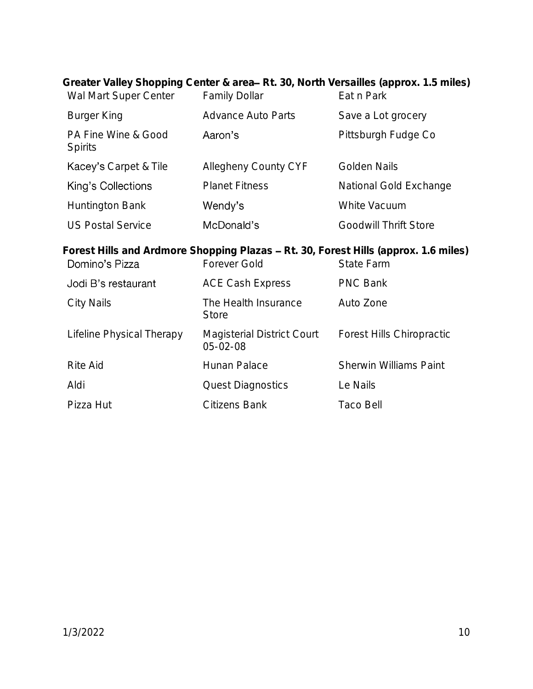| Wal Mart Super Center                                                                                                               | <b>Family Dollar</b>                         | Greater Valley Shopping Center & area– Rt. 30, North Versailles (approx. 1.5 miles)<br>Eat n Park |  |
|-------------------------------------------------------------------------------------------------------------------------------------|----------------------------------------------|---------------------------------------------------------------------------------------------------|--|
| Burger King                                                                                                                         | <b>Advance Auto Parts</b>                    | Save a Lot grocery                                                                                |  |
| PA Fine Wine & Good<br><b>Spirits</b>                                                                                               | Aaron's                                      | Pittsburgh Fudge Co                                                                               |  |
| Kacey's Carpet & Tile                                                                                                               | Allegheny County CYF                         | Golden Nails                                                                                      |  |
| King's Collections                                                                                                                  | <b>Planet Fitness</b>                        | National Gold Exchange                                                                            |  |
| Huntington Bank                                                                                                                     | Wendy's                                      | White Vacuum                                                                                      |  |
| <b>US Postal Service</b>                                                                                                            | McDonald's                                   | Goodwill Thrift Store                                                                             |  |
| Forest Hills and Ardmore Shopping Plazas - Rt. 30, Forest Hills (approx. 1.6 miles)<br>Domino's Pizza<br>Forever Gold<br>State Farm |                                              |                                                                                                   |  |
|                                                                                                                                     |                                              |                                                                                                   |  |
| Jodi B's restaurant                                                                                                                 | <b>ACE Cash Express</b>                      | <b>PNC Bank</b>                                                                                   |  |
| <b>City Nails</b>                                                                                                                   | The Health Insurance<br><b>Store</b>         | Auto Zone                                                                                         |  |
| Lifeline Physical Therapy                                                                                                           | Magisterial District Court<br>$05 - 02 - 08$ | <b>Forest Hills Chiropractic</b>                                                                  |  |
| <b>Rite Aid</b>                                                                                                                     | Hunan Palace                                 | <b>Sherwin Williams Paint</b>                                                                     |  |
| Aldi                                                                                                                                | <b>Quest Diagnostics</b>                     | Le Nails                                                                                          |  |